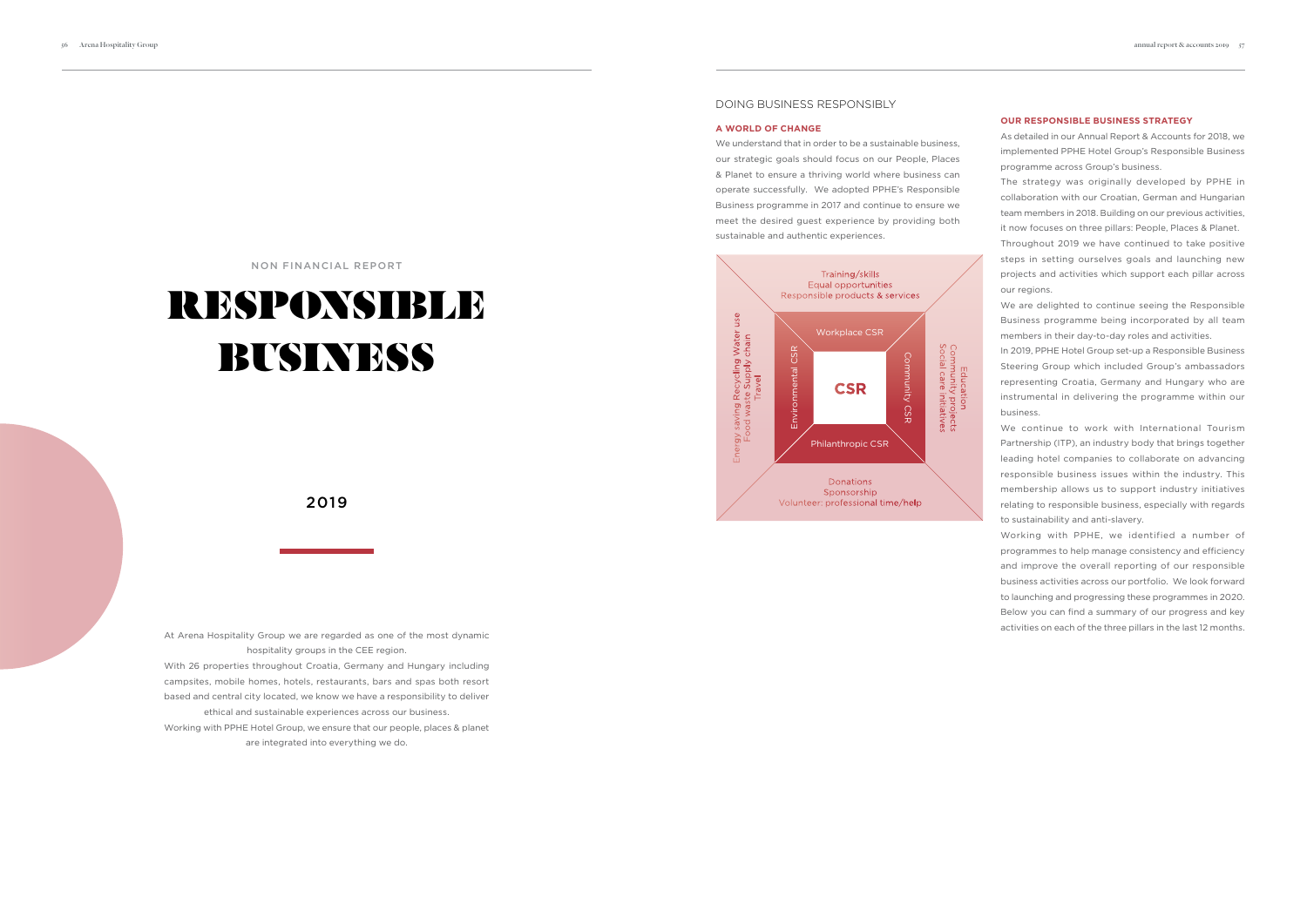# DOING BUSINESS RESPONSIBLY

#### **A WORLD OF CHANGE**

We understand that in order to be a sustainable business, our strategic goals should focus on our People, Places & Planet to ensure a thriving world where business can operate successfully. We adopted PPHE's Responsible Business programme in 2017 and continue to ensure we meet the desired guest experience by providing both sustainable and authentic experiences.

At Arena Hospitality Group we are regarded as one of the most dynamic hospitality groups in the CEE region.

With 26 properties throughout Croatia, Germany and Hungary including campsites, mobile homes, hotels, restaurants, bars and spas both resort based and central city located, we know we have a responsibility to deliver

ethical and sustainable experiences across our business.

Working with PPHE Hotel Group, we ensure that our people, places & planet are integrated into everything we do.

# NON FINANCIAL REPORT

# RESPONSIBLE BUSINESS

# 2019

#### **OUR RESPONSIBLE BUSINESS STRATEGY**

As detailed in our Annual Report & Accounts for 2018, we implemented PPHE Hotel Group's Responsible Business programme across Group's business.

The strategy was originally developed by PPHE in collaboration with our Croatian, German and Hungarian team members in 2018. Building on our previous activities, it now focuses on three pillars: People, Places & Planet.

Throughout 2019 we have continued to take positive steps in setting ourselves goals and launching new projects and activities which support each pillar across our regions.

We are delighted to continue seeing the Responsible Business programme being incorporated by all team members in their day-to-day roles and activities.

In 2019, PPHE Hotel Group set-up a Responsible Business Steering Group which included Group's ambassadors representing Croatia, Germany and Hungary who are instrumental in delivering the programme within our business.

We continue to work with International Tourism Partnership (ITP), an industry body that brings together leading hotel companies to collaborate on advancing responsible business issues within the industry. This membership allows us to support industry initiatives relating to responsible business, especially with regards to sustainability and anti-slavery.

Working with PPHE, we identified a number of programmes to help manage consistency and efficiency and improve the overall reporting of our responsible business activities across our portfolio. We look forward to launching and progressing these programmes in 2020. Below you can find a summary of our progress and key activities on each of the three pillars in the last 12 months.

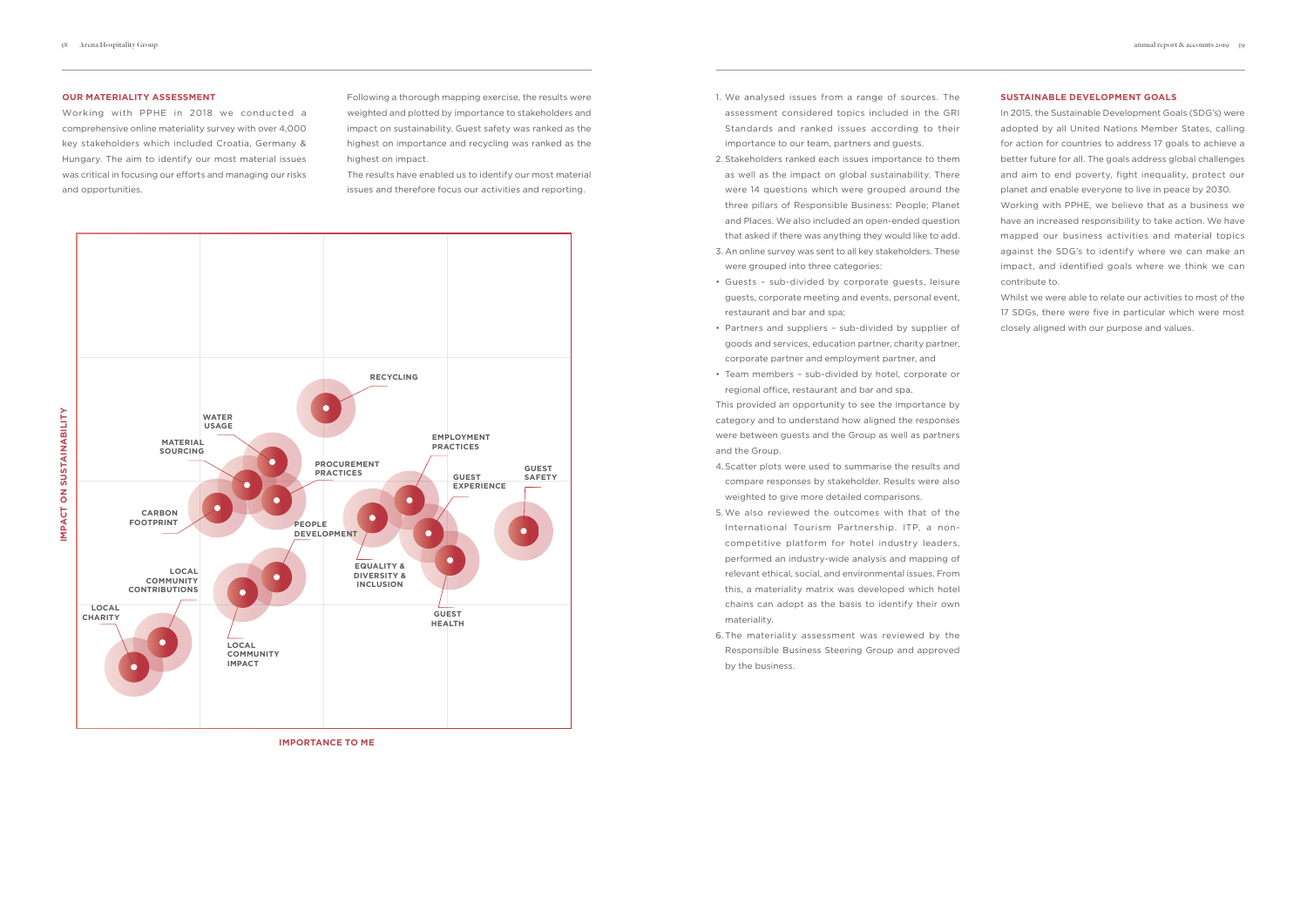#### **OUR MATERIALITY ASSESSMENT**

Working with PPHE in 2018 we conducted a comprehensive online materiality survey with over 4,000 key stakeholders which included Croatia, Germany & Hungary. The aim to identify our most material issues was critical in focusing our efforts and managing our risks and opportunities.

Following a thorough mapping exercise, the results were weighted and plotted by importance to stakeholders and impact on sustainability. Guest safety was ranked as the highest on importance and recycling was ranked as the highest on impact.

The results have enabled us to identify our most material issues and therefore focus our activities and reporting.

- 1. We analysed issues from a range of sources. The assessment considered topics included in the GRI Standards and ranked issues according to their importance to our team, partners and guests.
- 2. Stakeholders ranked each issues importance to them as well as the impact on global sustainability. There were 14 questions which were grouped around the three pillars of Responsible Business: People; Planet and Places. We also included an open-ended question that asked if there was anything they would like to add.
- 3. An online survey was sent to all key stakeholders. These were grouped into three categories:
- Guests sub-divided by corporate guests, leisure guests, corporate meeting and events, personal event, restaurant and bar and spa;
- Partners and suppliers sub-divided by supplier of goods and services, education partner, charity partner, corporate partner and employment partner, and
- Team members sub-divided by hotel, corporate or regional office, restaurant and bar and spa.



**IMPORTANCE TO ME**

This provided an opportunity to see the importance by category and to understand how aligned the responses were between guests and the Group as well as partners and the Group.

- 4.Scatter plots were used to summarise the results and compare responses by stakeholder. Results were also weighted to give more detailed comparisons.
- 5.We also reviewed the outcomes with that of the International Tourism Partnership. ITP, a noncompetitive platform for hotel industry leaders, performed an industry-wide analysis and mapping of relevant ethical, social, and environmental issues. From this, a materiality matrix was developed which hotel chains can adopt as the basis to identify their own materiality.
- 6.The materiality assessment was reviewed by the Responsible Business Steering Group and approved by the business.

#### **SUSTAINABLE DEVELOPMENT GOALS**

In 2015, the Sustainable Development Goals (SDG's) were adopted by all United Nations Member States, calling for action for countries to address 17 goals to achieve a better future for all. The goals address global challenges and aim to end poverty, fight inequality, protect our planet and enable everyone to live in peace by 2030.

Working with PPHE, we believe that as a business we have an increased responsibility to take action. We have mapped our business activities and material topics against the SDG's to identify where we can make an impact, and identified goals where we think we can contribute to.

Whilst we were able to relate our activities to most of the 17 SDGs, there were five in particular which were most closely aligned with our purpose and values.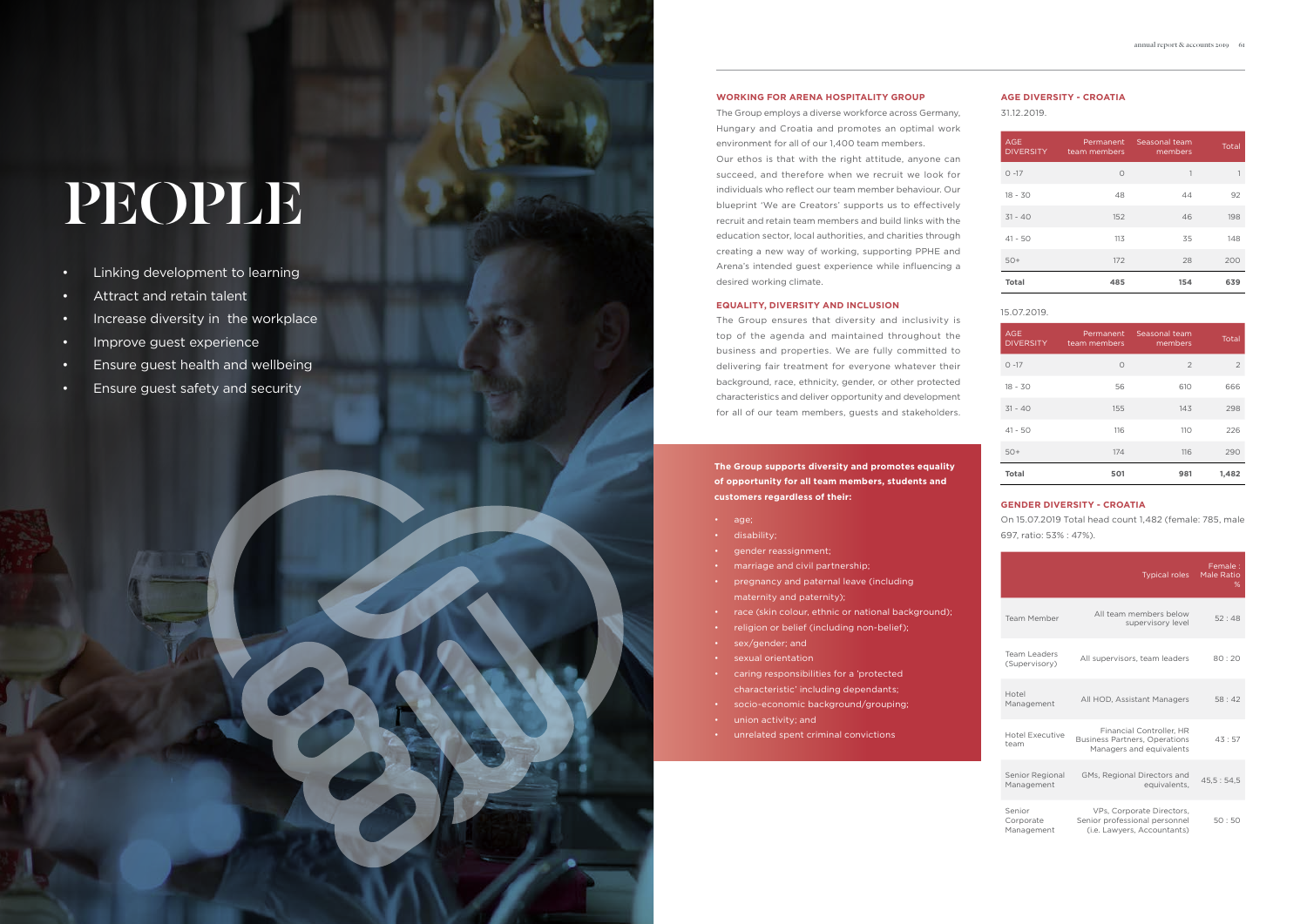# PEOPLE

- Linking development to learning
- Attract and retain talent
- Increase diversity in the workplace
- Improve guest experience
- Ensure guest health and wellbeing
- Ensure guest safety and security

# **WORKING FOR ARENA HOSPITALITY GROUP**

The Group employs a diverse workforce across Germany, Hungary and Croatia and promotes an optimal work environment for all of our 1,400 team members.

Our ethos is that with the right attitude, anyone can succeed, and therefore when we recruit we look for individuals who reflect our team member behaviour. Our blueprint 'We are Creators' supports us to effectively recruit and retain team members and build links with the education sector, local authorities, and charities through creating a new way of working, supporting PPHE and Arena's intended guest experience while influencing a desired working climate.

# **EQUALITY, DIVERSITY AND INCLUSION**

The Group ensures that diversity and inclusivity is top of the agenda and maintained throughout the business and properties. We are fully committed to delivering fair treatment for everyone whatever their background, race, ethnicity, gender, or other protected characteristics and deliver opportunity and development for all of our team members, guests and stakeholders.

**The Group supports diversity and promotes equality of opportunity for all team members, students and customers regardless of their:**

- age;
- disability;
- gender reassignment;
- marriage and civil partnership;
- pregnancy and paternal leave (including maternity and paternity);
- race (skin colour, ethnic or national background);
- religion or belief (including non-belief);
- sex/gender; and
- sexual orientation
- caring responsibilities for a 'protected characteristic' including dependants;
- socio-economic background/grouping;
- union activity; and
- unrelated spent criminal convictions

| <b>AGE</b><br><b>DIVERSITY</b> | Permanent<br>team members | Seasonal team<br>members | Total |
|--------------------------------|---------------------------|--------------------------|-------|
| $O - 17$                       | $\circ$                   | 1                        | 1     |
| $18 - 30$                      | 48                        | 44                       | 92    |
| $31 - 40$                      | 152                       | 46                       | 198   |
| $41 - 50$                      | 113                       | 35                       | 148   |
| $50+$                          | 172                       | 28                       | 200   |
| <b>Total</b>                   | 485                       | 154                      | 639   |

| <b>AGE</b><br><b>DIVERSITY</b> | Permanent<br>team members | Seasonal team<br>members | Total |
|--------------------------------|---------------------------|--------------------------|-------|
| $0 - 17$                       | $\circ$                   | 2                        | 2     |
| $18 - 30$                      | 56                        | 610                      | 666   |
| $31 - 40$                      | 155                       | 143                      | 298   |
| $41 - 50$                      | 116                       | 110                      | 226   |
| $50+$                          | 174                       | 116                      | 290   |
| <b>Total</b>                   | 501                       | 981                      | 1,482 |

31.12.2019.

# **AGE DIVERSITY - CROATIA**

# 15.07.2019.

# **GENDER DIVERSITY - CROATIA**

On 15.07.2019 Total head count 1,482 (female: 785, male 697, ratio: 53% : 47%).

|                                      | <b>Typical roles</b>                                                                                | Female:<br>Male Ratio<br>℅ |
|--------------------------------------|-----------------------------------------------------------------------------------------------------|----------------------------|
| <b>Team Member</b>                   | All team members below<br>supervisory level                                                         | 52:48                      |
| <b>Team Leaders</b><br>(Supervisory) | All supervisors, team leaders                                                                       | 80:20                      |
| Hotel<br>Management                  | All HOD, Assistant Managers                                                                         | 58:42                      |
| Hotel Executive<br>team              | <b>Financial Controller, HR</b><br><b>Business Partners, Operations</b><br>Managers and equivalents | 43:57                      |
| Senior Regional<br>Management        | GMs. Regional Directors and<br>equivalents.                                                         | 45.5:54.5                  |
| Senior<br>Corporate<br>Management    | VPs, Corporate Directors,<br>Senior professional personnel<br>(i.e. Lawyers, Accountants)           | 50:50                      |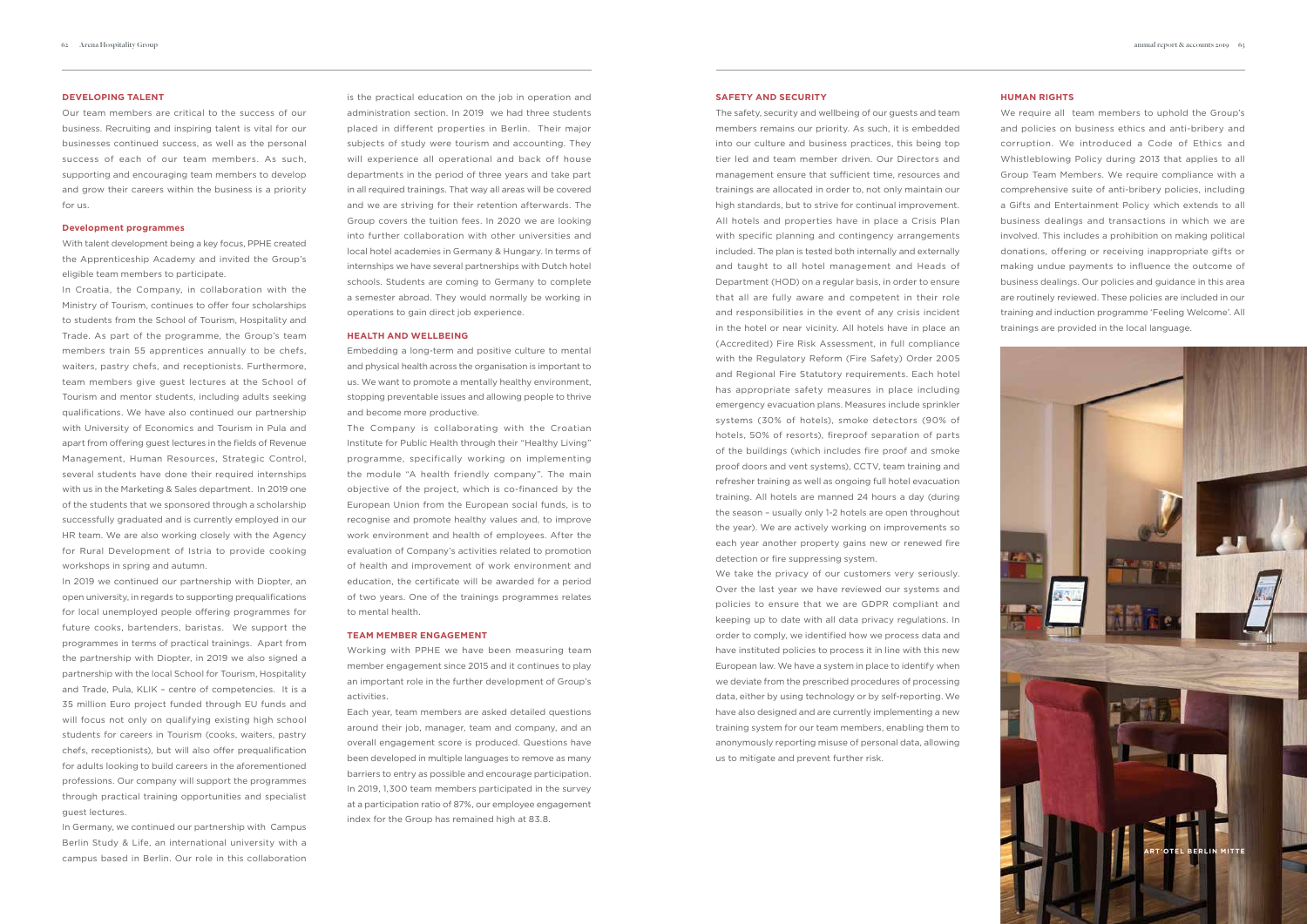Our team members are critical to the success of our business. Recruiting and inspiring talent is vital for our businesses continued success, as well as the personal success of each of our team members. As such, supporting and encouraging team members to develop and grow their careers within the business is a priority for us.

#### **DEVELOPING TALENT**

#### **Development programmes**

With talent development being a key focus, PPHE created the Apprenticeship Academy and invited the Group's eligible team members to participate.

In Croatia, the Company, in collaboration with the Ministry of Tourism, continues to offer four scholarships to students from the School of Tourism, Hospitality and Trade. As part of the programme, the Group's team members train 55 apprentices annually to be chefs, waiters, pastry chefs, and receptionists. Furthermore, team members give guest lectures at the School of Tourism and mentor students, including adults seeking qualifications. We have also continued our partnership with University of Economics and Tourism in Pula and apart from offering guest lectures in the fields of Revenue Management, Human Resources, Strategic Control, several students have done their required internships with us in the Marketing & Sales department. In 2019 one of the students that we sponsored through a scholarship successfully graduated and is currently employed in our HR team. We are also working closely with the Agency for Rural Development of Istria to provide cooking workshops in spring and autumn.

In 2019 we continued our partnership with Diopter, an open university, in regards to supporting prequalifications for local unemployed people offering programmes for future cooks, bartenders, baristas. We support the programmes in terms of practical trainings. Apart from the partnership with Diopter, in 2019 we also signed a partnership with the local School for Tourism, Hospitality and Trade, Pula, KLIK – centre of competencies. It is a 35 million Euro project funded through EU funds and will focus not only on qualifying existing high school students for careers in Tourism (cooks, waiters, pastry chefs, receptionists), but will also offer prequalification for adults looking to build careers in the aforementioned professions. Our company will support the programmes through practical training opportunities and specialist guest lectures.

In Germany, we continued our partnership with Campus Berlin Study & Life, an international university with a campus based in Berlin. Our role in this collaboration

is the practical education on the job in operation and administration section. In 2019 we had three students placed in different properties in Berlin. Their major subjects of study were tourism and accounting. They will experience all operational and back off house departments in the period of three years and take part in all required trainings. That way all areas will be covered and we are striving for their retention afterwards. The Group covers the tuition fees. In 2020 we are looking into further collaboration with other universities and local hotel academies in Germany & Hungary. In terms of internships we have several partnerships with Dutch hotel schools. Students are coming to Germany to complete a semester abroad. They would normally be working in operations to gain direct job experience.

### **HEALTH AND WELLBEING**

Embedding a long-term and positive culture to mental and physical health across the organisation is important to us. We want to promote a mentally healthy environment, stopping preventable issues and allowing people to thrive and become more productive.

The Company is collaborating with the Croatian Institute for Public Health through their "Healthy Living" programme, specifically working on implementing the module "A health friendly company". The main objective of the project, which is co-financed by the European Union from the European social funds, is to recognise and promote healthy values and, to improve work environment and health of employees. After the evaluation of Company's activities related to promotion of health and improvement of work environment and education, the certificate will be awarded for a period of two years. One of the trainings programmes relates to mental health.

#### **TEAM MEMBER ENGAGEMENT**

Working with PPHE we have been measuring team member engagement since 2015 and it continues to play an important role in the further development of Group's activities.

Each year, team members are asked detailed questions around their job, manager, team and company, and an overall engagement score is produced. Questions have been developed in multiple languages to remove as many barriers to entry as possible and encourage participation. In 2019, 1,300 team members participated in the survey at a participation ratio of 87%, our employee engagement index for the Group has remained high at 83.8.

#### **SAFETY AND SECURITY**

The safety, security and wellbeing of our guests and team members remains our priority. As such, it is embedded into our culture and business practices, this being top tier led and team member driven. Our Directors and management ensure that sufficient time, resources and trainings are allocated in order to, not only maintain our high standards, but to strive for continual improvement. All hotels and properties have in place a Crisis Plan with specific planning and contingency arrangements included. The plan is tested both internally and externally and taught to all hotel management and Heads of Department (HOD) on a regular basis, in order to ensure that all are fully aware and competent in their role and responsibilities in the event of any crisis incident in the hotel or near vicinity. All hotels have in place an (Accredited) Fire Risk Assessment, in full compliance with the Regulatory Reform (Fire Safety) Order 2005 and Regional Fire Statutory requirements. Each hotel has appropriate safety measures in place including emergency evacuation plans. Measures include sprinkler systems (30% of hotels), smoke detectors (90% of hotels, 50% of resorts), fireproof separation of parts of the buildings (which includes fire proof and smoke proof doors and vent systems), CCTV, team training and refresher training as well as ongoing full hotel evacuation training. All hotels are manned 24 hours a day (during the season – usually only 1-2 hotels are open throughout the year). We are actively working on improvements so each year another property gains new or renewed fire detection or fire suppressing system.

We take the privacy of our customers very seriously. Over the last year we have reviewed our systems and policies to ensure that we are GDPR compliant and keeping up to date with all data privacy regulations. In order to comply, we identified how we process data and have instituted policies to process it in line with this new European law. We have a system in place to identify when we deviate from the prescribed procedures of processing data, either by using technology or by self-reporting. We have also designed and are currently implementing a new training system for our team members, enabling them to anonymously reporting misuse of personal data, allowing us to mitigate and prevent further risk.

#### **HUMAN RIGHTS**

We require all team members to uphold the Group's and policies on business ethics and anti-bribery and corruption. We introduced a Code of Ethics and Whistleblowing Policy during 2013 that applies to all Group Team Members. We require compliance with a comprehensive suite of anti-bribery policies, including a Gifts and Entertainment Policy which extends to all business dealings and transactions in which we are involved. This includes a prohibition on making political donations, offering or receiving inappropriate gifts or making undue payments to influence the outcome of business dealings. Our policies and guidance in this area are routinely reviewed. These policies are included in our training and induction programme 'Feeling Welcome'. All trainings are provided in the local language.

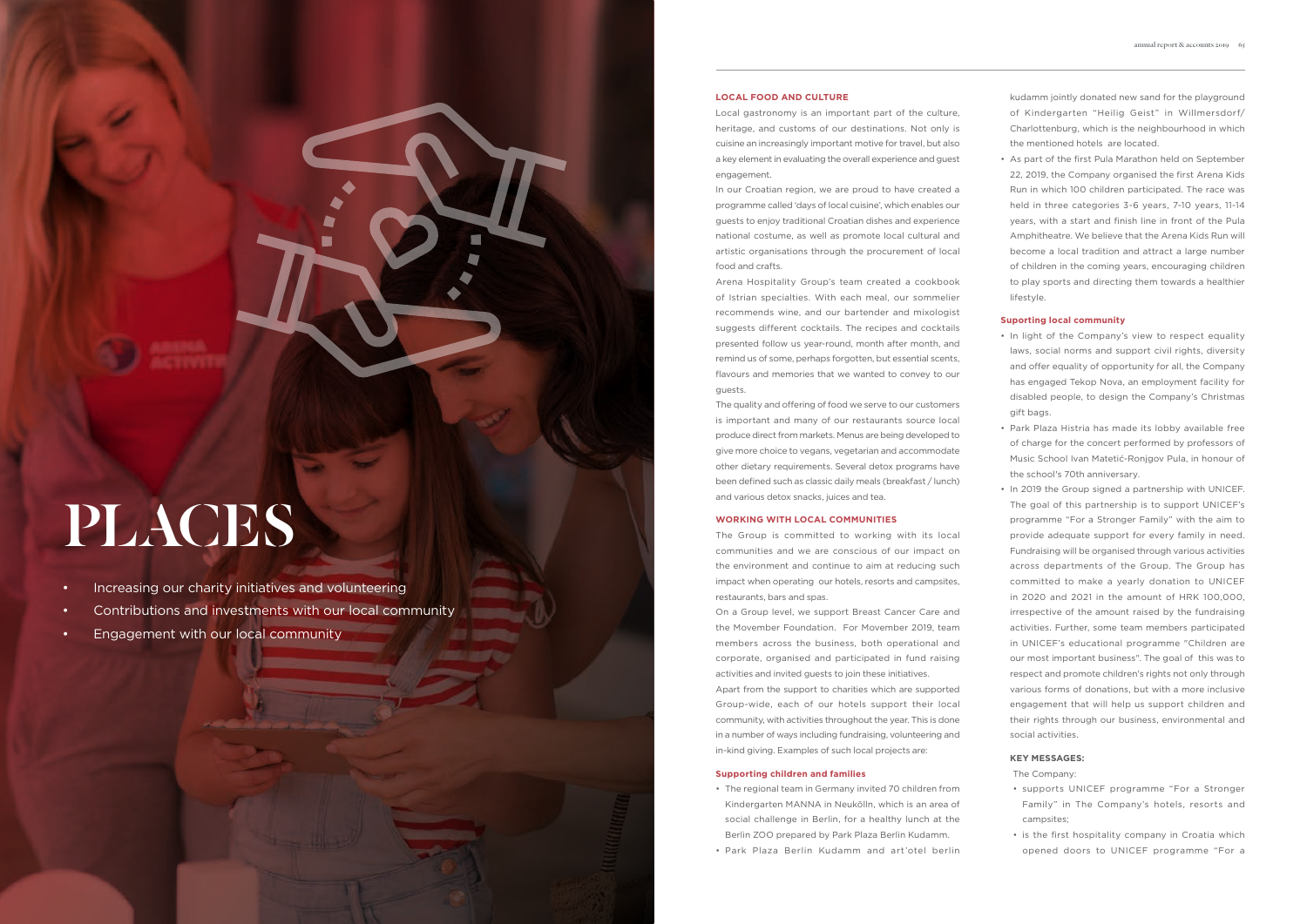# PLACES

- Increasing our charity initiatives and volunteering
- Contributions and investments with our local community
- Engagement with our local community

## **LOCAL FOOD AND CULTURE**

Local gastronomy is an important part of the culture, heritage, and customs of our destinations. Not only is cuisine an increasingly important motive for travel, but also a key element in evaluating the overall experience and guest engagement.

In our Croatian region, we are proud to have created a programme called 'days of local cuisine', which enables our guests to enjoy traditional Croatian dishes and experience national costume, as well as promote local cultural and artistic organisations through the procurement of local food and crafts.

Arena Hospitality Group's team created a cookbook of Istrian specialties. With each meal, our sommelier recommends wine, and our bartender and mixologist suggests different cocktails. The recipes and cocktails presented follow us year-round, month after month, and remind us of some, perhaps forgotten, but essential scents, flavours and memories that we wanted to convey to our guests.

The quality and offering of food we serve to our customers is important and many of our restaurants source local produce direct from markets. Menus are being developed to give more choice to vegans, vegetarian and accommodate other dietary requirements. Several detox programs have been defined such as classic daily meals (breakfast / lunch) and various detox snacks, juices and tea.

#### **WORKING WITH LOCAL COMMUNITIES**

The Group is committed to working with its local communities and we are conscious of our impact on the environment and continue to aim at reducing such impact when operating our hotels, resorts and campsites, restaurants, bars and spas.

On a Group level, we support Breast Cancer Care and the Movember Foundation. For Movember 2019, team members across the business, both operational and corporate, organised and participated in fund raising activities and invited guests to join these initiatives.

Apart from the support to charities which are supported Group-wide, each of our hotels support their local community, with activities throughout the year. This is done in a number of ways including fundraising, volunteering and in-kind giving. Examples of such local projects are:

# **Supporting children and families**

- The regional team in Germany invited 70 children from Kindergarten MANNA in Neukölln, which is an area of social challenge in Berlin, for a healthy lunch at the Berlin ZOO prepared by Park Plaza Berlin Kudamm.
- Park Plaza Berlin Kudamm and art'otel berlin

kudamm jointly donated new sand for the playground of Kindergarten "Heilig Geist" in Willmersdorf/ Charlottenburg, which is the neighbourhood in which the mentioned hotels are located.

• As part of the first Pula Marathon held on September 22, 2019, the Company organised the first Arena Kids Run in which 100 children participated. The race was held in three categories 3-6 years, 7-10 years, 11-14 years, with a start and finish line in front of the Pula Amphitheatre. We believe that the Arena Kids Run will become a local tradition and attract a large number of children in the coming years, encouraging children to play sports and directing them towards a healthier lifestyle.

# **Suporting local community**

- In light of the Company's view to respect equality laws, social norms and support civil rights, diversity and offer equality of opportunity for all, the Company has engaged Tekop Nova, an employment facility for disabled people, to design the Company's Christmas gift bags.
- Park Plaza Histria has made its lobby available free of charge for the concert performed by professors of Music School Ivan Matetić-Ronjgov Pula, in honour of the school's 70th anniversary.
- In 2019 the Group signed a partnership with UNICEF. The goal of this partnership is to support UNICEF's programme "For a Stronger Family" with the aim to provide adequate support for every family in need. Fundraising will be organised through various activities across departments of the Group. The Group has committed to make a yearly donation to UNICEF in 2020 and 2021 in the amount of HRK 100,000, irrespective of the amount raised by the fundraising activities. Further, some team members participated in UNICEF's educational programme "Children are our most important business". The goal of this was to respect and promote children's rights not only through various forms of donations, but with a more inclusive engagement that will help us support children and their rights through our business, environmental and social activities.

## **KEY MESSAGES:**

The Company:

- supports UNICEF programme "For a Stronger Family" in The Company's hotels, resorts and campsites;
- is the first hospitality company in Croatia which opened doors to UNICEF programme "For a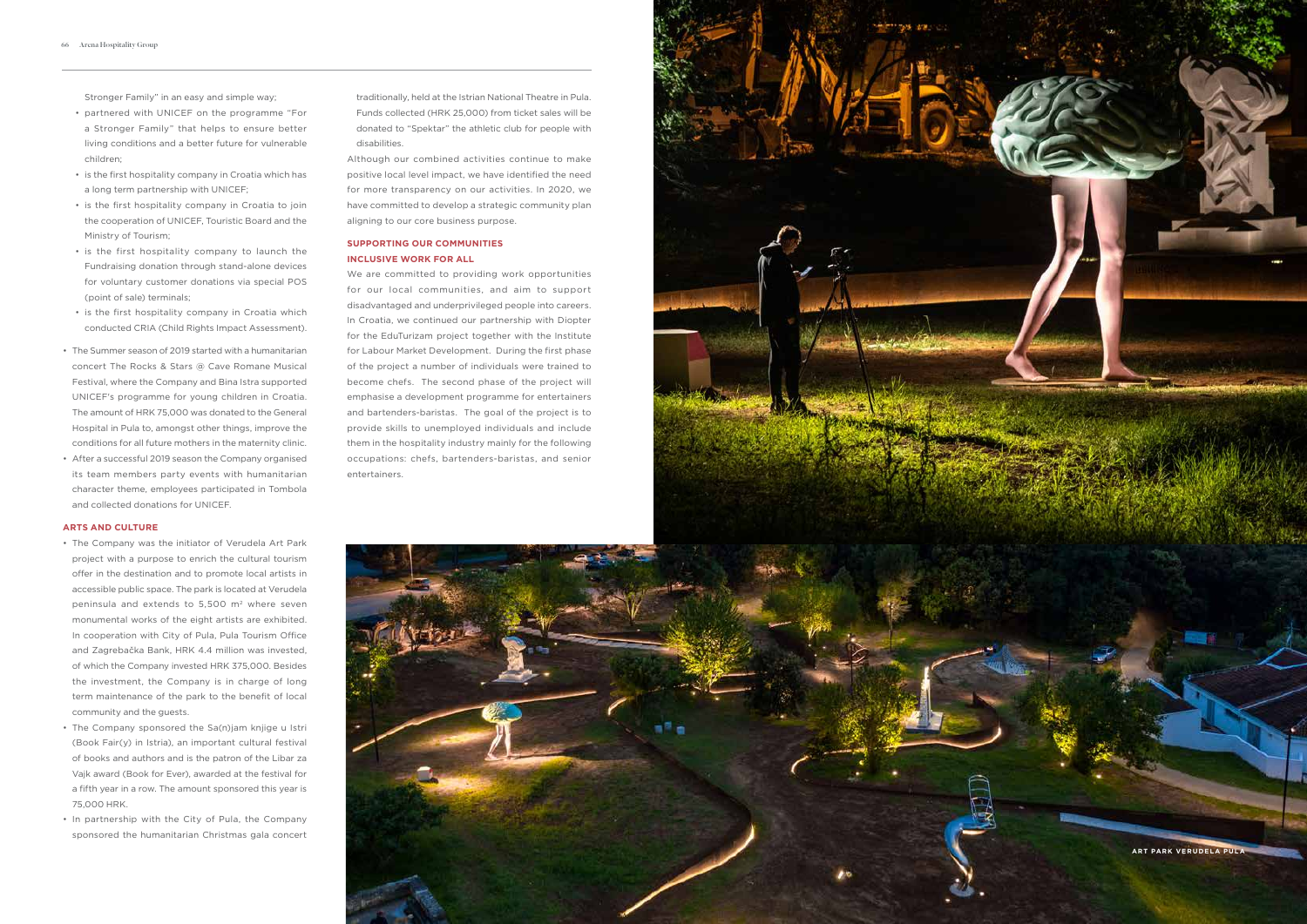Stronger Family" in an easy and simple way;

- partnered with UNICEF on the programme "For a Stronger Family" that helps to ensure better living conditions and a better future for vulnerable children;
- is the first hospitality company in Croatia which has a long term partnership with UNICEF;
- is the first hospitality company in Croatia to join the cooperation of UNICEF, Touristic Board and the Ministry of Tourism;
- is the first hospitality company to launch the Fundraising donation through stand-alone devices for voluntary customer donations via special POS (point of sale) terminals;
- is the first hospitality company in Croatia which conducted CRIA (Child Rights Impact Assessment).
- The Summer season of 2019 started with a humanitarian concert The Rocks & Stars @ Cave Romane Musical Festival, where the Company and Bina Istra supported UNICEF's programme for young children in Croatia. The amount of HRK 75,000 was donated to the General Hospital in Pula to, amongst other things, improve the conditions for all future mothers in the maternity clinic.
- After a successful 2019 season the Company organised its team members party events with humanitarian character theme, employees participated in Tombola and collected donations for UNICEF.

# **ARTS AND CULTURE**

We are committed to providing work opportunities for our local communities, and aim to support disadvantaged and underprivileged people into careers. In Croatia, we continued our partnership with Diopter for the EduTurizam project together with the Institute for Labour Market Development. During the first phase of the project a number of individuals were trained to become chefs. The second phase of the project will emphasise a development programme for entertainers and bartenders-baristas. The goal of the project is to provide skills to unemployed individuals and include them in the hospitality industry mainly for the following occupations: chefs, bartenders-baristas, and senior entertainers.





- The Company was the initiator of Verudela Art Park project with a purpose to enrich the cultural tourism offer in the destination and to promote local artists in accessible public space. The park is located at Verudela peninsula and extends to 5,500 m 2 where seven monumental works of the eight artists are exhibited. In cooperation with City of Pula, Pula Tourism Office and Zagrebačka Bank, HRK 4.4 million was invested, of which the Company invested HRK 375,000. Besides the investment, the Company is in charge of long term maintenance of the park to the benefit of local community and the guests.
- The Company sponsored the Sa(n)jam knijge u Istri (Book Fair(y) in Istria), an important cultural festival of books and authors and is the patron of the Libar za Vajk award (Book for Ever), awarded at the festival for a fifth year in a row. The amount sponsored this year is 75,000 HRK.
- In partnership with the City of Pula, the Company sponsored the humanitarian Christmas gala concert

traditionally, held at the Istrian National Theatre in Pula. Funds collected (HRK 25,000) from ticket sales will be donated to "Spektar" the athletic club for people with disabilities.

Although our combined activities continue to make positive local level impact, we have identified the need for more transparency on our activities. In 2020, we have committed to develop a strategic community plan aligning to our core business purpose.

# **SUPPORTING OUR COMMUNITIES INCLUSIVE WORK FOR ALL**